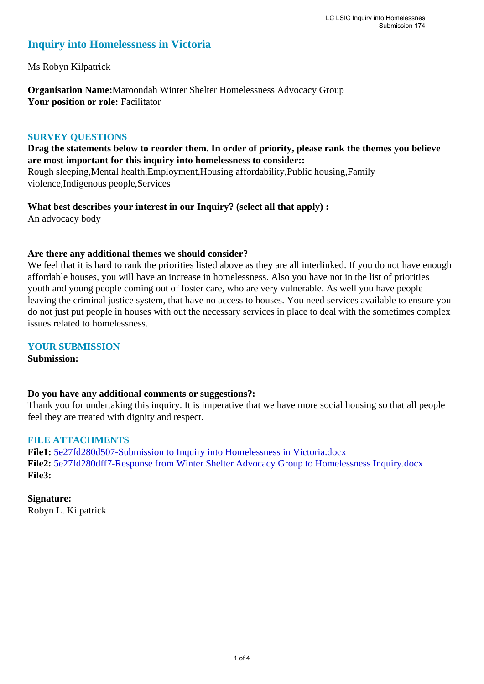# **Inquiry into Homelessness in Victoria**

Ms Robyn Kilpatrick

**Organisation Name:**Maroondah Winter Shelter Homelessness Advocacy Group Your position or role: Facilitator

# **SURVEY QUESTIONS**

**Drag the statements below to reorder them. In order of priority, please rank the themes you believe are most important for this inquiry into homelessness to consider::** 

Rough sleeping,Mental health,Employment,Housing affordability,Public housing,Family violence,Indigenous people,Services

**What best describes your interest in our Inquiry? (select all that apply) :**  An advocacy body

# **Are there any additional themes we should consider?**

We feel that it is hard to rank the priorities listed above as they are all interlinked. If you do not have enough affordable houses, you will have an increase in homelessness. Also you have not in the list of priorities youth and young people coming out of foster care, who are very vulnerable. As well you have people leaving the criminal justice system, that have no access to houses. You need services available to ensure you do not just put people in houses with out the necessary services in place to deal with the sometimes complex issues related to homelessness.

#### **YOUR SUBMISSION**

**Submission:** 

#### **Do you have any additional comments or suggestions?:**

Thank you for undertaking this inquiry. It is imperative that we have more social housing so that all people feel they are treated with dignity and respect.

# **FILE ATTACHMENTS**

**File1:** [5e27fd280d507-Submission to Inquiry into Homelessness in Victoria.docx](https://www.parliament.vic.gov.au/component/rsform/submission-view-file/ece98484961eba8a5a5d742927b07236/5de4aa2eebf2fecf89423ff4c4465ee1?Itemid=463) **File2:** [5e27fd280dff7-Response from Winter Shelter Advocacy Group to Homelessness Inquiry.docx](https://www.parliament.vic.gov.au/component/rsform/submission-view-file/7dd9c213282ac5a0ce9329344279579c/5c6e0687635d72dd3c3ffe9ea3c66bda?Itemid=463) **File3:** 

**Signature:** Robyn L. Kilpatrick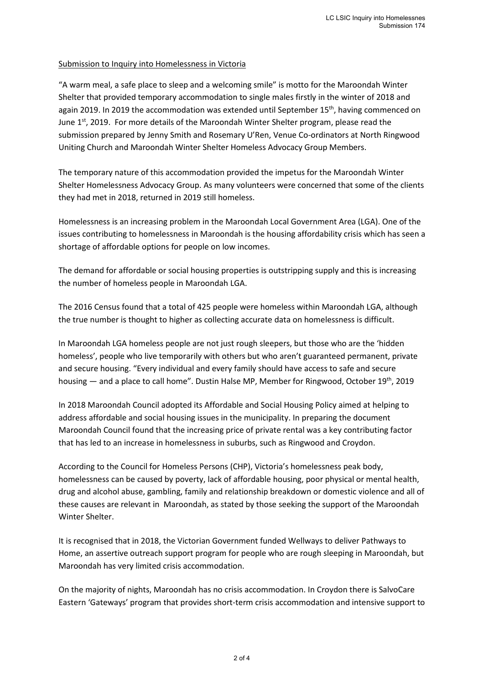#### Submission to Inquiry into Homelessness in Victoria

"A warm meal, a safe place to sleep and a welcoming smile" is motto for the Maroondah Winter Shelter that provided temporary accommodation to single males firstly in the winter of 2018 and again 2019. In 2019 the accommodation was extended until September  $15<sup>th</sup>$ , having commenced on June  $1<sup>st</sup>$ , 2019. For more details of the Maroondah Winter Shelter program, please read the submission prepared by Jenny Smith and Rosemary U'Ren, Venue Co-ordinators at North Ringwood Uniting Church and Maroondah Winter Shelter Homeless Advocacy Group Members.

The temporary nature of this accommodation provided the impetus for the Maroondah Winter Shelter Homelessness Advocacy Group. As many volunteers were concerned that some of the clients they had met in 2018, returned in 2019 still homeless.

Homelessness is an increasing problem in the Maroondah Local Government Area (LGA). One of the issues contributing to homelessness in Maroondah is the housing affordability crisis which has seen a shortage of affordable options for people on low incomes.

The demand for affordable or social housing properties is outstripping supply and this is increasing the number of homeless people in Maroondah LGA.

The 2016 Census found that a total of 425 people were homeless within Maroondah LGA, although the true number is thought to higher as collecting accurate data on homelessness is difficult.

In Maroondah LGA homeless people are not just rough sleepers, but those who are the 'hidden homeless', people who live temporarily with others but who aren't guaranteed permanent, private and secure housing. "Every individual and every family should have access to safe and secure housing — and a place to call home". Dustin Halse MP, Member for Ringwood, October 19<sup>th</sup>, 2019

In 2018 Maroondah Council adopted its Affordable and Social Housing Policy aimed at helping to address affordable and social housing issues in the municipality. In preparing the document Maroondah Council found that the increasing price of private rental was a key contributing factor that has led to an increase in homelessness in suburbs, such as Ringwood and Croydon.

According to the Council for Homeless Persons (CHP), Victoria's homelessness peak body, homelessness can be caused by poverty, lack of affordable housing, poor physical or mental health, drug and alcohol abuse, gambling, family and relationship breakdown or domestic violence and all of these causes are relevant in Maroondah, as stated by those seeking the support of the Maroondah Winter Shelter.

It is recognised that in 2018, the Victorian Government funded Wellways to deliver Pathways to Home, an assertive outreach support program for people who are rough sleeping in Maroondah, but Maroondah has very limited crisis accommodation.

On the majority of nights, Maroondah has no crisis accommodation. In Croydon there is SalvoCare Eastern 'Gateways' program that provides short-term crisis accommodation and intensive support to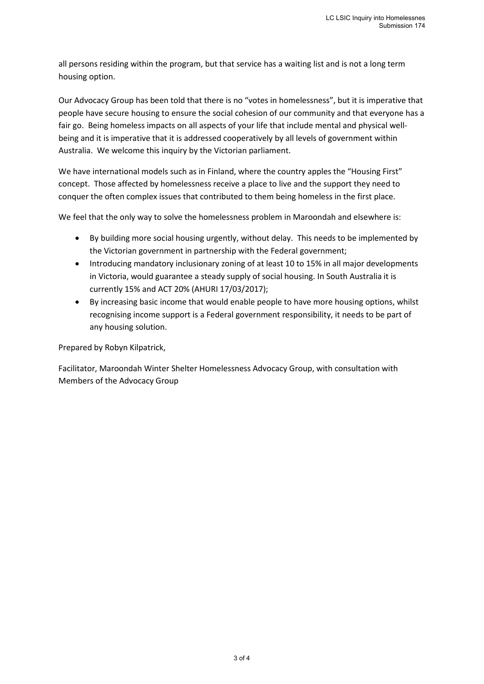all persons residing within the program, but that service has a waiting list and is not a long term housing option.

Our Advocacy Group has been told that there is no "votes in homelessness", but it is imperative that people have secure housing to ensure the social cohesion of our community and that everyone has a fair go. Being homeless impacts on all aspects of your life that include mental and physical wellbeing and it is imperative that it is addressed cooperatively by all levels of government within Australia. We welcome this inquiry by the Victorian parliament.

We have international models such as in Finland, where the country apples the "Housing First" concept. Those affected by homelessness receive a place to live and the support they need to conquer the often complex issues that contributed to them being homeless in the first place.

We feel that the only way to solve the homelessness problem in Maroondah and elsewhere is:

- By building more social housing urgently, without delay. This needs to be implemented by the Victorian government in partnership with the Federal government;
- Introducing mandatory inclusionary zoning of at least 10 to 15% in all major developments in Victoria, would guarantee a steady supply of social housing. In South Australia it is currently 15% and ACT 20% (AHURI 17/03/2017);
- By increasing basic income that would enable people to have more housing options, whilst recognising income support is a Federal government responsibility, it needs to be part of any housing solution.

Prepared by Robyn Kilpatrick,

Facilitator, Maroondah Winter Shelter Homelessness Advocacy Group, with consultation with Members of the Advocacy Group